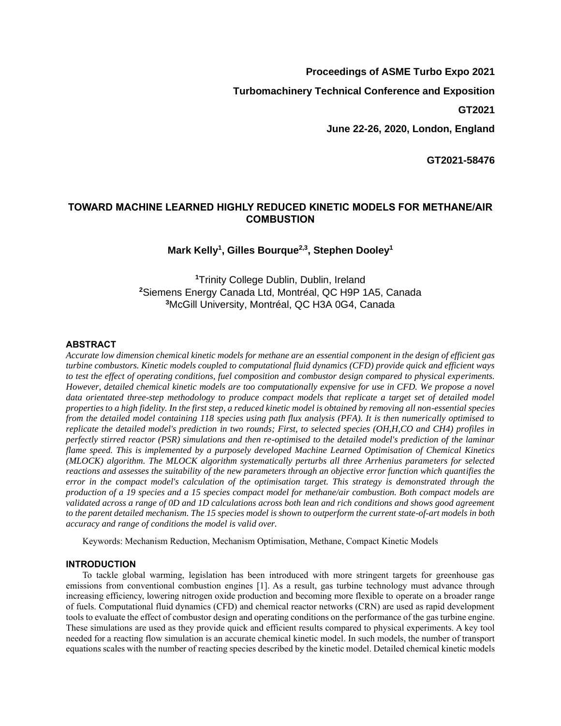# **Proceedings of ASME Turbo Expo 2021**

**Turbomachinery Technical Conference and Exposition**

**GT2021**

**June 22-26, 2020, London, England**

**GT2021-58476**

# **TOWARD MACHINE LEARNED HIGHLY REDUCED KINETIC MODELS FOR METHANE/AIR COMBUSTION**

# **Mark Kelly<sup>1</sup> , Gilles Bourque2,3 , Stephen Dooley<sup>1</sup>**

**<sup>1</sup>**Trinity College Dublin, Dublin, Ireland **<sup>2</sup>**Siemens Energy Canada Ltd, Montréal, QC H9P 1A5, Canada **<sup>3</sup>**McGill University, Montréal, QC H3A 0G4, Canada

## **ABSTRACT**

*Accurate low dimension chemical kinetic models for methane are an essential component in the design of efficient gas turbine combustors. Kinetic models coupled to computational fluid dynamics (CFD) provide quick and efficient ways to test the effect of operating conditions, fuel composition and combustor design compared to physical experiments. However, detailed chemical kinetic models are too computationally expensive for use in CFD. We propose a novel* data orientated three-step methodology to produce compact models that replicate a target set of detailed model *properties to a high fidelity. In the first step, a reduced kinetic model is obtained by removing all non-essential species from the detailed model containing 118 species using path flux analysis (PFA). It is then numerically optimised to replicate the detailed model's prediction in two rounds; First, to selected species (OH,H,CO and CH4) profiles in perfectly stirred reactor (PSR) simulations and then re-optimised to the detailed model's prediction of the laminar flame speed. This is implemented by a purposely developed Machine Learned Optimisation of Chemical Kinetics (MLOCK) algorithm. The MLOCK algorithm systematically perturbs all three Arrhenius parameters for selected reactions and assesses the suitability of the new parameters through an objective error function which quantifies the error in the compact model's calculation of the optimisation target. This strategy is demonstrated through the production of a 19 species and a 15 species compact model for methane/air combustion. Both compact models are validated across a range of 0D and 1D calculations across both lean and rich conditions and shows good agreement to the parent detailed mechanism. The 15 species model is shown to outperform the current state-of-art models in both accuracy and range of conditions the model is valid over.*

Keywords: Mechanism Reduction, Mechanism Optimisation, Methane, Compact Kinetic Models

# **INTRODUCTION**

To tackle global warming, legislation has been introduced with more stringent targets for greenhouse gas emissions from conventional combustion engines [1]. As a result, gas turbine technology must advance through increasing efficiency, lowering nitrogen oxide production and becoming more flexible to operate on a broader range of fuels. Computational fluid dynamics (CFD) and chemical reactor networks (CRN) are used as rapid development tools to evaluate the effect of combustor design and operating conditions on the performance of the gas turbine engine. These simulations are used as they provide quick and efficient results compared to physical experiments. A key tool needed for a reacting flow simulation is an accurate chemical kinetic model. In such models, the number of transport equations scales with the number of reacting species described by the kinetic model. Detailed chemical kinetic models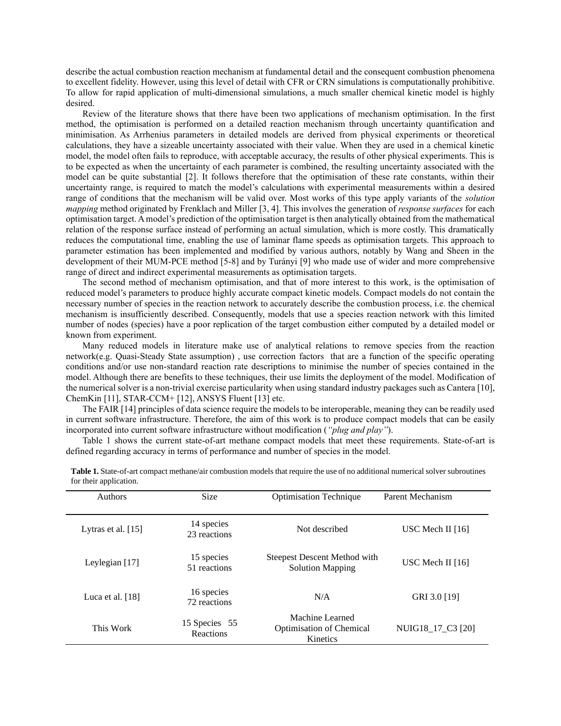describe the actual combustion reaction mechanism at fundamental detail and the consequent combustion phenomena to excellent fidelity. However, using this level of detail with CFR or CRN simulations is computationally prohibitive. To allow for rapid application of multi-dimensional simulations, a much smaller chemical kinetic model is highly desired.

Review of the literature shows that there have been two applications of mechanism optimisation. In the first method, the optimisation is performed on a detailed reaction mechanism through uncertainty quantification and minimisation. As Arrhenius parameters in detailed models are derived from physical experiments or theoretical calculations, they have a sizeable uncertainty associated with their value. When they are used in a chemical kinetic model, the model often fails to reproduce, with acceptable accuracy, the results of other physical experiments. This is to be expected as when the uncertainty of each parameter is combined, the resulting uncertainty associated with the model can be quite substantial [2]. It follows therefore that the optimisation of these rate constants, within their uncertainty range, is required to match the model's calculations with experimental measurements within a desired range of conditions that the mechanism will be valid over. Most works of this type apply variants of the *solution mapping* method originated by Frenklach and Miller [3, 4]. This involves the generation of *response surfaces* for each optimisation target. A model's prediction of the optimisation target is then analytically obtained from the mathematical relation of the response surface instead of performing an actual simulation, which is more costly. This dramatically reduces the computational time, enabling the use of laminar flame speeds as optimisation targets. This approach to parameter estimation has been implemented and modified by various authors, notably by Wang and Sheen in the development of their MUM-PCE method [5-8] and by Turányi [9] who made use of wider and more comprehensive range of direct and indirect experimental measurements as optimisation targets.

The second method of mechanism optimisation, and that of more interest to this work, is the optimisation of reduced model's parameters to produce highly accurate compact kinetic models. Compact models do not contain the necessary number of species in the reaction network to accurately describe the combustion process, i.e. the chemical mechanism is insufficiently described. Consequently, models that use a species reaction network with this limited number of nodes (species) have a poor replication of the target combustion either computed by a detailed model or known from experiment.

Many reduced models in literature make use of analytical relations to remove species from the reaction network(e.g. Quasi-Steady State assumption) , use correction factors that are a function of the specific operating conditions and/or use non-standard reaction rate descriptions to minimise the number of species contained in the model. Although there are benefits to these techniques, their use limits the deployment of the model. Modification of the numerical solver is a non-trivial exercise particularity when using standard industry packages such as Cantera [10], ChemKin [11], STAR-CCM+ [12], ANSYS Fluent [13] etc.

The FAIR [14] principles of data science require the models to be interoperable, meaning they can be readily used in current software infrastructure. Therefore, the aim of this work is to produce compact models that can be easily incorporated into current software infrastructure without modification (*"plug and play"*).

Table 1 shows the current state-of-art methane compact models that meet these requirements. State-of-art is defined regarding accuracy in terms of performance and number of species in the model.

| for their application. |                            |                                                                       |                   |
|------------------------|----------------------------|-----------------------------------------------------------------------|-------------------|
| Authors                | <b>Size</b>                | <b>Optimisation Technique</b>                                         | Parent Mechanism  |
| Lytras et al. $[15]$   | 14 species<br>23 reactions | Not described                                                         | USC Mech II [16]  |
| Leylegian [17]         | 15 species<br>51 reactions | <b>Steepest Descent Method with</b><br><b>Solution Mapping</b>        | USC Mech II [16]  |
| Luca et al. $[18]$     | 16 species<br>72 reactions | N/A                                                                   | GRI 3.0 [19]      |
| This Work              | 15 Species 55<br>Reactions | Machine Learned<br><b>Optimisation of Chemical</b><br><b>Kinetics</b> | NUIG18 17 C3 [20] |

**Table 1.** State-of-art compact methane/air combustion models that require the use of no additional numerical solver subroutines for their application.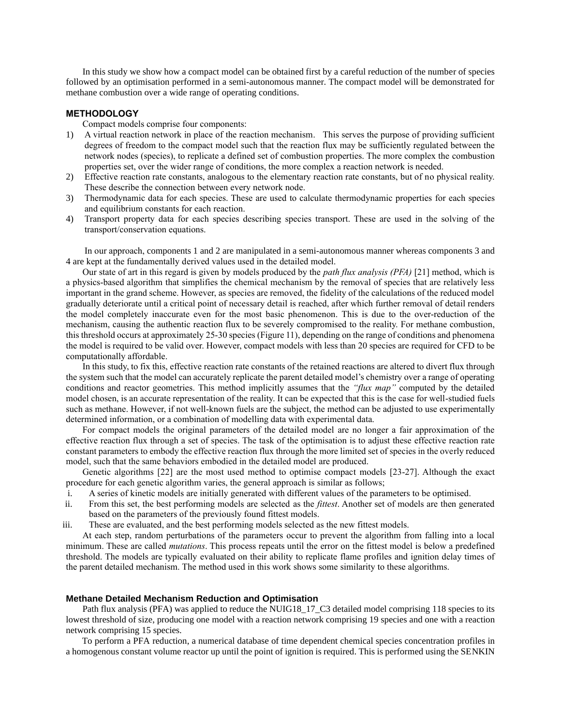In this study we show how a compact model can be obtained first by a careful reduction of the number of species followed by an optimisation performed in a semi-autonomous manner. The compact model will be demonstrated for methane combustion over a wide range of operating conditions.

### **METHODOLOGY**

Compact models comprise four components:

- 1) A virtual reaction network in place of the reaction mechanism. This serves the purpose of providing sufficient degrees of freedom to the compact model such that the reaction flux may be sufficiently regulated between the network nodes (species), to replicate a defined set of combustion properties. The more complex the combustion properties set, over the wider range of conditions, the more complex a reaction network is needed.
- 2) Effective reaction rate constants, analogous to the elementary reaction rate constants, but of no physical reality. These describe the connection between every network node.
- 3) Thermodynamic data for each species. These are used to calculate thermodynamic properties for each species and equilibrium constants for each reaction.
- 4) Transport property data for each species describing species transport. These are used in the solving of the transport/conservation equations.

In our approach, components 1 and 2 are manipulated in a semi-autonomous manner whereas components 3 and 4 are kept at the fundamentally derived values used in the detailed model.

Our state of art in this regard is given by models produced by the *path flux analysis (PFA)* [21] method, which is a physics-based algorithm that simplifies the chemical mechanism by the removal of species that are relatively less important in the grand scheme. However, as species are removed, the fidelity of the calculations of the reduced model gradually deteriorate until a critical point of necessary detail is reached, after which further removal of detail renders the model completely inaccurate even for the most basic phenomenon. This is due to the over-reduction of the mechanism, causing the authentic reaction flux to be severely compromised to the reality. For methane combustion, this threshold occurs at approximately 25-30 species (Figure 11), depending on the range of conditions and phenomena the model is required to be valid over. However, compact models with less than 20 species are required for CFD to be computationally affordable.

In this study, to fix this, effective reaction rate constants of the retained reactions are altered to divert flux through the system such that the model can accurately replicate the parent detailed model's chemistry over a range of operating conditions and reactor geometries. This method implicitly assumes that the *"flux map"* computed by the detailed model chosen, is an accurate representation of the reality. It can be expected that this is the case for well-studied fuels such as methane. However, if not well-known fuels are the subject, the method can be adjusted to use experimentally determined information, or a combination of modelling data with experimental data.

For compact models the original parameters of the detailed model are no longer a fair approximation of the effective reaction flux through a set of species. The task of the optimisation is to adjust these effective reaction rate constant parameters to embody the effective reaction flux through the more limited set of species in the overly reduced model, such that the same behaviors embodied in the detailed model are produced.

Genetic algorithms [22] are the most used method to optimise compact models [23-27]. Although the exact procedure for each genetic algorithm varies, the general approach is similar as follows;

- i. A series of kinetic models are initially generated with different values of the parameters to be optimised.
- ii. From this set, the best performing models are selected as the *fittest*. Another set of models are then generated based on the parameters of the previously found fittest models.
- iii. These are evaluated, and the best performing models selected as the new fittest models.

At each step, random perturbations of the parameters occur to prevent the algorithm from falling into a local minimum. These are called *mutations*. This process repeats until the error on the fittest model is below a predefined threshold. The models are typically evaluated on their ability to replicate flame profiles and ignition delay times of the parent detailed mechanism. The method used in this work shows some similarity to these algorithms.

### **Methane Detailed Mechanism Reduction and Optimisation**

Path flux analysis (PFA) was applied to reduce the NUIG18\_17\_C3 detailed model comprising 118 species to its lowest threshold of size, producing one model with a reaction network comprising 19 species and one with a reaction network comprising 15 species.

 To perform a PFA reduction, a numerical database of time dependent chemical species concentration profiles in a homogenous constant volume reactor up until the point of ignition is required. This is performed using the SENKIN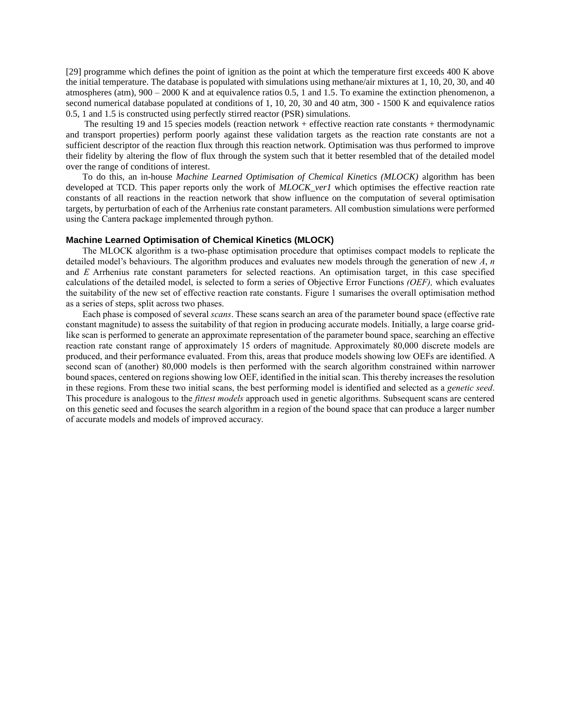[29] programme which defines the point of ignition as the point at which the temperature first exceeds 400 K above the initial temperature. The database is populated with simulations using methane/air mixtures at 1, 10, 20, 30, and 40 atmospheres (atm), 900 – 2000 K and at equivalence ratios 0.5, 1 and 1.5. To examine the extinction phenomenon, a second numerical database populated at conditions of 1, 10, 20, 30 and 40 atm, 300 - 1500 K and equivalence ratios 0.5, 1 and 1.5 is constructed using perfectly stirred reactor (PSR) simulations.

 The resulting 19 and 15 species models (reaction network + effective reaction rate constants + thermodynamic and transport properties) perform poorly against these validation targets as the reaction rate constants are not a sufficient descriptor of the reaction flux through this reaction network. Optimisation was thus performed to improve their fidelity by altering the flow of flux through the system such that it better resembled that of the detailed model over the range of conditions of interest.

To do this, an in-house *Machine Learned Optimisation of Chemical Kinetics (MLOCK)* algorithm has been developed at TCD. This paper reports only the work of *MLOCK ver1* which optimises the effective reaction rate constants of all reactions in the reaction network that show influence on the computation of several optimisation targets, by perturbation of each of the Arrhenius rate constant parameters. All combustion simulations were performed using the Cantera package implemented through python.

### **Machine Learned Optimisation of Chemical Kinetics (MLOCK)**

The MLOCK algorithm is a two-phase optimisation procedure that optimises compact models to replicate the detailed model's behaviours. The algorithm produces and evaluates new models through the generation of new *A*, *n* and *E* Arrhenius rate constant parameters for selected reactions. An optimisation target, in this case specified calculations of the detailed model, is selected to form a series of Objective Error Functions *(OEF),* which evaluates the suitability of the new set of effective reaction rate constants. Figure 1 sumarises the overall optimisation method as a series of steps, split across two phases.

Each phase is composed of several *scans*. These scans search an area of the parameter bound space (effective rate constant magnitude) to assess the suitability of that region in producing accurate models. Initially, a large coarse gridlike scan is performed to generate an approximate representation of the parameter bound space, searching an effective reaction rate constant range of approximately 15 orders of magnitude. Approximately 80,000 discrete models are produced, and their performance evaluated. From this, areas that produce models showing low OEFs are identified. A second scan of (another) 80,000 models is then performed with the search algorithm constrained within narrower bound spaces, centered on regions showing low OEF, identified in the initial scan. This thereby increases the resolution in these regions. From these two initial scans, the best performing model is identified and selected as a *genetic seed*. This procedure is analogous to the *fittest models* approach used in genetic algorithms. Subsequent scans are centered on this genetic seed and focuses the search algorithm in a region of the bound space that can produce a larger number of accurate models and models of improved accuracy.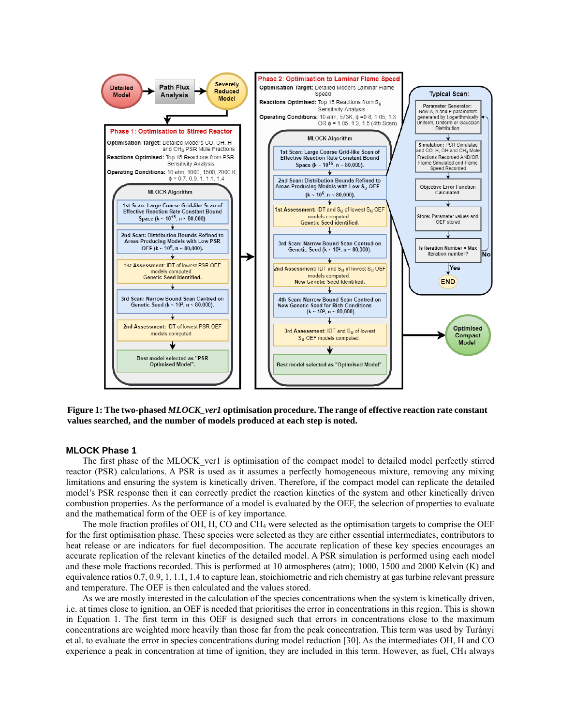

**Figure 1: The two-phased** *MLOCK\_ver1* **optimisation procedure. The range of effective reaction rate constant values searched, and the number of models produced at each step is noted.**

## **MLOCK Phase 1**

The first phase of the MLOCK\_ver1 is optimisation of the compact model to detailed model perfectly stirred reactor (PSR) calculations. A PSR is used as it assumes a perfectly homogeneous mixture, removing any mixing limitations and ensuring the system is kinetically driven. Therefore, if the compact model can replicate the detailed model's PSR response then it can correctly predict the reaction kinetics of the system and other kinetically driven combustion properties. As the performance of a model is evaluated by the OEF, the selection of properties to evaluate and the mathematical form of the OEF is of key importance.

The mole fraction profiles of OH, H, CO and CH<sup>4</sup> were selected as the optimisation targets to comprise the OEF for the first optimisation phase. These species were selected as they are either essential intermediates, contributors to heat release or are indicators for fuel decomposition. The accurate replication of these key species encourages an accurate replication of the relevant kinetics of the detailed model. A PSR simulation is performed using each model and these mole fractions recorded. This is performed at 10 atmospheres (atm); 1000, 1500 and 2000 Kelvin (K) and equivalence ratios 0.7, 0.9, 1, 1.1, 1.4 to capture lean, stoichiometric and rich chemistry at gas turbine relevant pressure and temperature. The OEF is then calculated and the values stored.

As we are mostly interested in the calculation of the species concentrations when the system is kinetically driven, i.e. at times close to ignition, an OEF is needed that prioritises the error in concentrations in this region. This is shown in Equation 1. The first term in this OEF is designed such that errors in concentrations close to the maximum concentrations are weighted more heavily than those far from the peak concentration. This term was used by Turányi et al. to evaluate the error in species concentrations during model reduction [30]. As the intermediates OH, H and CO experience a peak in concentration at time of ignition, they are included in this term. However, as fuel, CH<sup>4</sup> always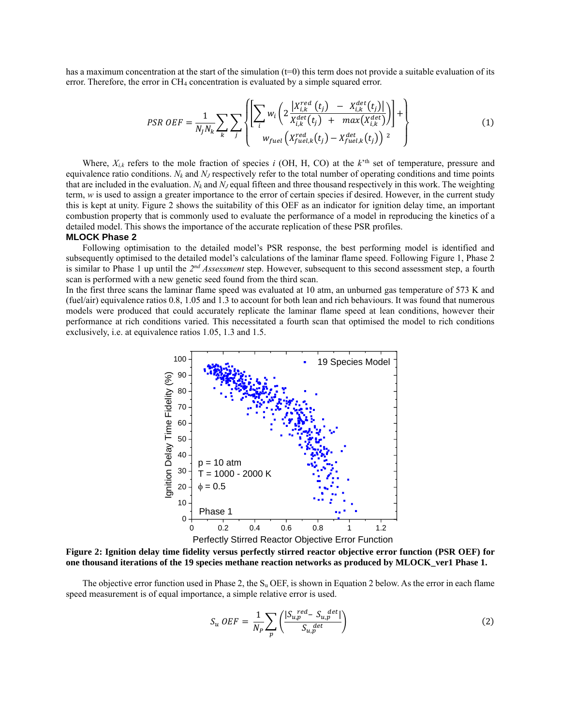has a maximum concentration at the start of the simulation (t=0) this term does not provide a suitable evaluation of its error. Therefore, the error in CH<sub>4</sub> concentration is evaluated by a simple squared error.

$$
PSR \text{ } OEF = \frac{1}{N_j N_k} \sum_{k} \sum_{j} \left\{ \left[ \sum_{i} w_i \left( 2 \frac{|X_{i,k}^{red}(t_j) - X_{i,k}^{det}(t_j)|}{X_{i,k}^{det}(t_j) + \max(X_{i,k}^{det})} \right) \right] + \right\}
$$
(1)

Where,  $X_{i,k}$  refers to the mole fraction of species *i* (OH, H, CO) at the  $k^{\text{th}}$  set of temperature, pressure and equivalence ratio conditions.  $N_k$  and  $N_j$  respectively refer to the total number of operating conditions and time points that are included in the evaluation.  $N_k$  and  $N_j$  equal fifteen and three thousand respectively in this work. The weighting term, *w* is used to assign a greater importance to the error of certain species if desired. However, in the current study this is kept at unity. Figure 2 shows the suitability of this OEF as an indicator for ignition delay time, an important combustion property that is commonly used to evaluate the performance of a model in reproducing the kinetics of a detailed model. This shows the importance of the accurate replication of these PSR profiles. **MLOCK Phase 2**

## Following optimisation to the detailed model's PSR response, the best performing model is identified and subsequently optimised to the detailed model's calculations of the laminar flame speed. Following Figure 1, Phase 2 is similar to Phase 1 up until the 2<sup>nd</sup> Assessment step. However, subsequent to this second assessment step, a fourth scan is performed with a new genetic seed found from the third scan.

In the first three scans the laminar flame speed was evaluated at 10 atm, an unburned gas temperature of 573 K and (fuel/air) equivalence ratios 0.8, 1.05 and 1.3 to account for both lean and rich behaviours. It was found that numerous models were produced that could accurately replicate the laminar flame speed at lean conditions, however their performance at rich conditions varied. This necessitated a fourth scan that optimised the model to rich conditions exclusively, i.e. at equivalence ratios 1.05, 1.3 and 1.5.



Perfectly Stirred Reactor Objective Error Function (PSR OEF) **Figure 2: Ignition delay time fidelity versus perfectly stirred reactor objective error function (PSR OEF) for one thousand iterations of the 19 species methane reaction networks as produced by MLOCK\_ver1 Phase 1.** 

The objective error function used in Phase 2, the  $S_u$  OEF, is shown in Equation 2 below. As the error in each flame speed measurement is of equal importance, a simple relative error is used.

$$
S_u \tCEF = \frac{1}{N_P} \sum_p \left( \frac{|S_{u,p}^{red} - S_{u,p}^{det}|}{S_{u,p}^{det}} \right) \tag{2}
$$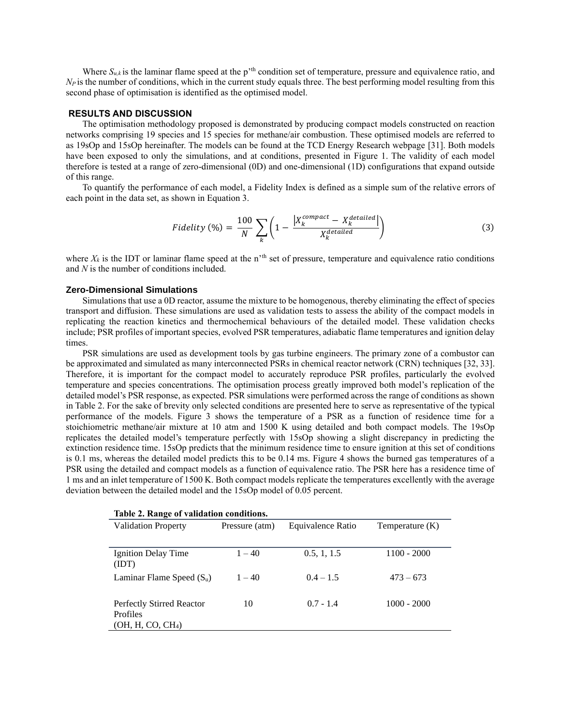Where  $S_{u,k}$  is the laminar flame speed at the p<sup>'th</sup> condition set of temperature, pressure and equivalence ratio, and  $N_P$  is the number of conditions, which in the current study equals three. The best performing model resulting from this second phase of optimisation is identified as the optimised model.

### **RESULTS AND DISCUSSION**

The optimisation methodology proposed is demonstrated by producing compact models constructed on reaction networks comprising 19 species and 15 species for methane/air combustion. These optimised models are referred to as 19sOp and 15sOp hereinafter. The models can be found at the TCD Energy Research webpage [31]. Both models have been exposed to only the simulations, and at conditions, presented in Figure 1. The validity of each model therefore is tested at a range of zero-dimensional (0D) and one-dimensional (1D) configurations that expand outside of this range.

To quantify the performance of each model, a Fidelity Index is defined as a simple sum of the relative errors of each point in the data set, as shown in Equation 3.

$$
Fidelity (%) = \frac{100}{N} \sum_{k} \left( 1 - \frac{\left| X_k^{compact} - X_k^{detailed} \right|}{X_k^{detailed}} \right) \tag{3}
$$

where  $X_k$  is the IDT or laminar flame speed at the n<sup>th</sup> set of pressure, temperature and equivalence ratio conditions and *N* is the number of conditions included.

### **Zero-Dimensional Simulations**

Simulations that use a 0D reactor, assume the mixture to be homogenous, thereby eliminating the effect of species transport and diffusion. These simulations are used as validation tests to assess the ability of the compact models in replicating the reaction kinetics and thermochemical behaviours of the detailed model. These validation checks include; PSR profiles of important species, evolved PSR temperatures, adiabatic flame temperatures and ignition delay times.

PSR simulations are used as development tools by gas turbine engineers. The primary zone of a combustor can be approximated and simulated as many interconnected PSRs in chemical reactor network (CRN) techniques [32, 33]. Therefore, it is important for the compact model to accurately reproduce PSR profiles, particularly the evolved temperature and species concentrations. The optimisation process greatly improved both model's replication of the detailed model's PSR response, as expected. PSR simulations were performed across the range of conditions as shown in Table 2. For the sake of brevity only selected conditions are presented here to serve as representative of the typical performance of the models. Figure 3 shows the temperature of a PSR as a function of residence time for a stoichiometric methane/air mixture at 10 atm and 1500 K using detailed and both compact models. The 19sOp replicates the detailed model's temperature perfectly with 15sOp showing a slight discrepancy in predicting the extinction residence time. 15sOp predicts that the minimum residence time to ensure ignition at this set of conditions is 0.1 ms, whereas the detailed model predicts this to be 0.14 ms. Figure 4 shows the burned gas temperatures of a PSR using the detailed and compact models as a function of equivalence ratio. The PSR here has a residence time of 1 ms and an inlet temperature of 1500 K. Both compact models replicate the temperatures excellently with the average deviation between the detailed model and the 15sOp model of 0.05 percent.

| Table 2. Range of validation conditions.                                      |                |                   |                   |  |  |  |  |
|-------------------------------------------------------------------------------|----------------|-------------------|-------------------|--|--|--|--|
| <b>Validation Property</b>                                                    | Pressure (atm) | Equivalence Ratio | Temperature $(K)$ |  |  |  |  |
|                                                                               |                |                   |                   |  |  |  |  |
| Ignition Delay Time<br>(IDT)                                                  | $1 - 40$       | 0.5, 1, 1.5       | $1100 - 2000$     |  |  |  |  |
| Laminar Flame Speed $(S_u)$                                                   | $1 - 40$       | $0.4 - 1.5$       | $473 - 673$       |  |  |  |  |
| Perfectly Stirred Reactor<br><b>Profiles</b><br>(OH, H, CO, CH <sub>4</sub> ) | 10             | $0.7 - 1.4$       | $1000 - 2000$     |  |  |  |  |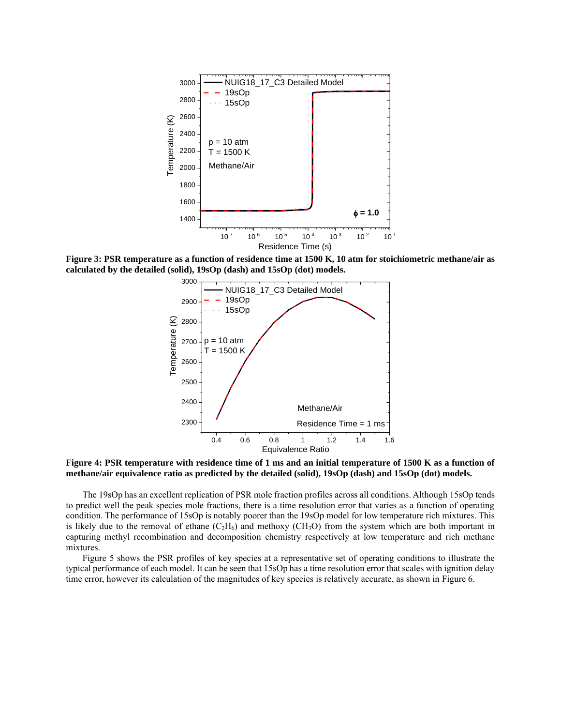

**Figure 3: PSR temperature as a function of residence time at 1500 K, 10 atm for stoichiometric methane/air as calculated by the detailed (solid), 19sOp (dash) and 15sOp (dot) models.**



**Figure 4: PSR temperature with residence time of 1 ms and an initial temperature of 1500 K as a function of methane/air equivalence ratio as predicted by the detailed (solid), 19sOp (dash) and 15sOp (dot) models.**

The 19sOp has an excellent replication of PSR mole fraction profiles across all conditions. Although 15sOp tends to predict well the peak species mole fractions, there is a time resolution error that varies as a function of operating condition. The performance of 15sOp is notably poorer than the 19sOp model for low temperature rich mixtures. This is likely due to the removal of ethane  $(C_2H_6)$  and methoxy (CH<sub>3</sub>O) from the system which are both important in capturing methyl recombination and decomposition chemistry respectively at low temperature and rich methane mixtures.

Figure 5 shows the PSR profiles of key species at a representative set of operating conditions to illustrate the typical performance of each model. It can be seen that 15sOp has a time resolution error that scales with ignition delay time error, however its calculation of the magnitudes of key species is relatively accurate, as shown in Figure 6.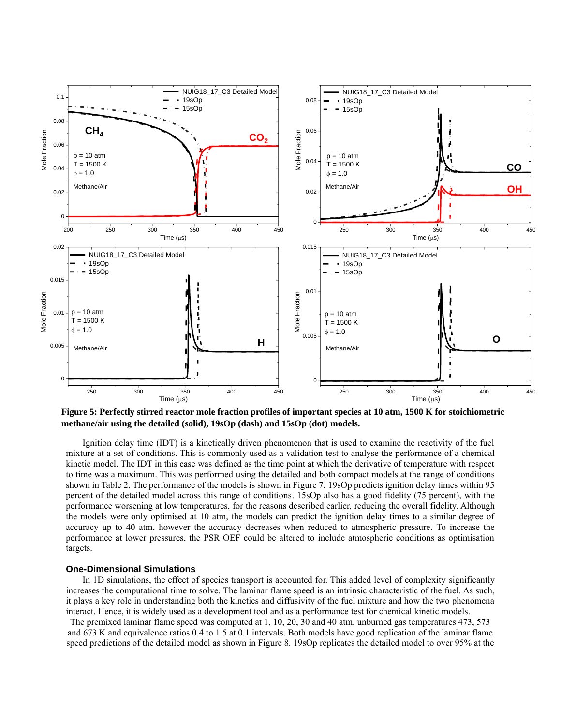

**Figure 5: Perfectly stirred reactor mole fraction profiles of important species at 10 atm, 1500 K for stoichiometric methane/air using the detailed (solid), 19sOp (dash) and 15sOp (dot) models.**

Ignition delay time (IDT) is a kinetically driven phenomenon that is used to examine the reactivity of the fuel mixture at a set of conditions. This is commonly used as a validation test to analyse the performance of a chemical kinetic model. The IDT in this case was defined as the time point at which the derivative of temperature with respect to time was a maximum. This was performed using the detailed and both compact models at the range of conditions shown in Table 2. The performance of the models is shown in Figure 7. 19sOp predicts ignition delay times within 95 percent of the detailed model across this range of conditions. 15sOp also has a good fidelity (75 percent), with the performance worsening at low temperatures, for the reasons described earlier, reducing the overall fidelity. Although the models were only optimised at 10 atm, the models can predict the ignition delay times to a similar degree of accuracy up to 40 atm, however the accuracy decreases when reduced to atmospheric pressure. To increase the performance at lower pressures, the PSR OEF could be altered to include atmospheric conditions as optimisation targets.

## **One-Dimensional Simulations**

In 1D simulations, the effect of species transport is accounted for. This added level of complexity significantly increases the computational time to solve. The laminar flame speed is an intrinsic characteristic of the fuel. As such, it plays a key role in understanding both the kinetics and diffusivity of the fuel mixture and how the two phenomena interact. Hence, it is widely used as a development tool and as a performance test for chemical kinetic models.

The premixed laminar flame speed was computed at 1, 10, 20, 30 and 40 atm, unburned gas temperatures 473, 573 and 673 K and equivalence ratios 0.4 to 1.5 at 0.1 intervals. Both models have good replication of the laminar flame speed predictions of the detailed model as shown in Figure 8. 19sOp replicates the detailed model to over 95% at the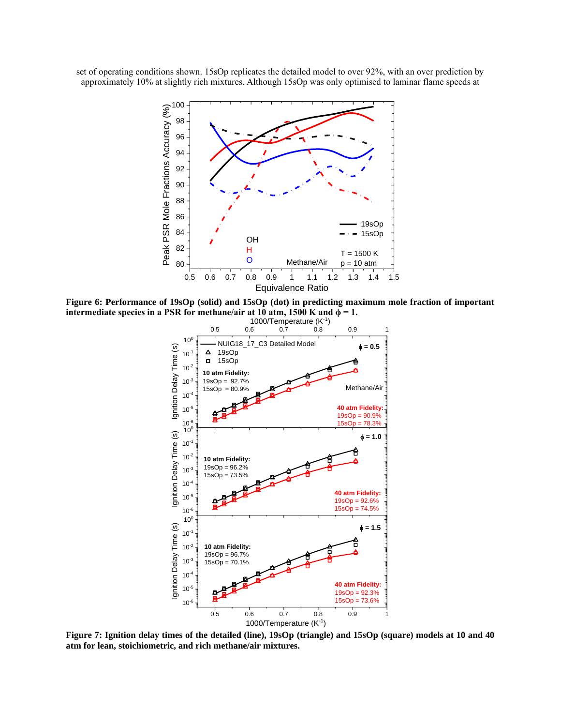set of operating conditions shown. 15sOp replicates the detailed model to over 92%, with an over prediction by approximately 10% at slightly rich mixtures. Although 15sOp was only optimised to laminar flame speeds at



**Figure 6: Performance of 19sOp (solid) and 15sOp (dot) in predicting maximum mole fraction of important**  intermediate species in a PSR for methane/air at 10 atm, 1500 K and  $\phi = 1$ .



**Figure 7: Ignition delay times of the detailed (line), 19sOp (triangle) and 15sOp (square) models at 10 and 40 atm for lean, stoichiometric, and rich methane/air mixtures.**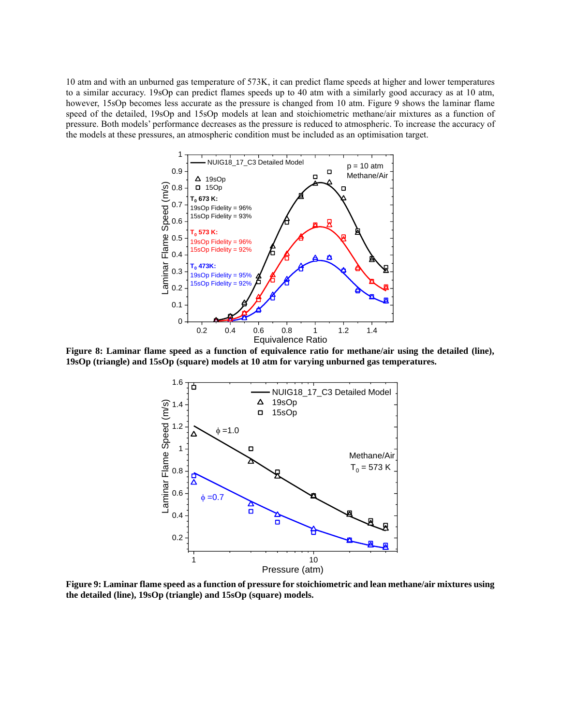10 atm and with an unburned gas temperature of 573K, it can predict flame speeds at higher and lower temperatures to a similar accuracy. 19sOp can predict flames speeds up to 40 atm with a similarly good accuracy as at 10 atm, however, 15sOp becomes less accurate as the pressure is changed from 10 atm. Figure 9 shows the laminar flame speed of the detailed, 19sOp and 15sOp models at lean and stoichiometric methane/air mixtures as a function of pressure. Both models' performance decreases as the pressure is reduced to atmospheric. To increase the accuracy of the models at these pressures, an atmospheric condition must be included as an optimisation target.



**Figure 8: Laminar flame speed as a function of equivalence ratio for methane/air using the detailed (line), 19sOp (triangle) and 15sOp (square) models at 10 atm for varying unburned gas temperatures.**



**Figure 9: Laminar flame speed as a function of pressure for stoichiometric and lean methane/air mixtures using the detailed (line), 19sOp (triangle) and 15sOp (square) models.**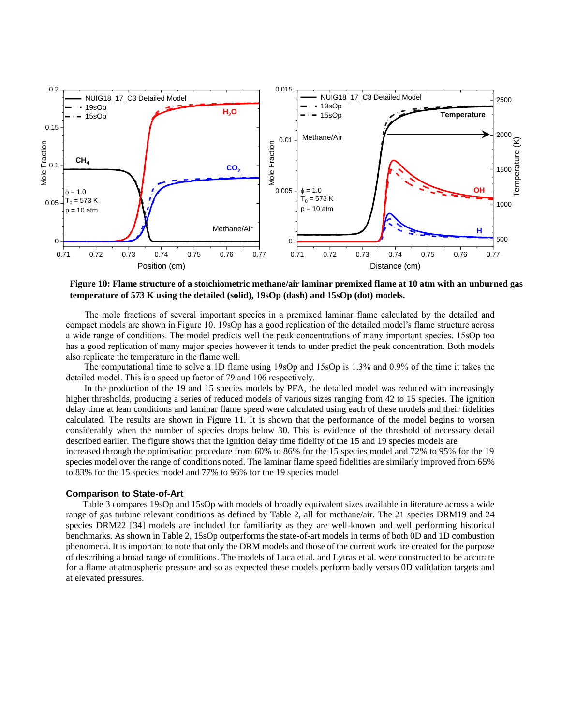

**Figure 10: Flame structure of a stoichiometric methane/air laminar premixed flame at 10 atm with an unburned gas temperature of 573 K using the detailed (solid), 19sOp (dash) and 15sOp (dot) models.**

The mole fractions of several important species in a premixed laminar flame calculated by the detailed and compact models are shown in Figure 10. 19sOp has a good replication of the detailed model's flame structure across a wide range of conditions. The model predicts well the peak concentrations of many important species. 15sOp too has a good replication of many major species however it tends to under predict the peak concentration. Both models also replicate the temperature in the flame well.

 The computational time to solve a 1D flame using 19sOp and 15sOp is 1.3% and 0.9% of the time it takes the detailed model. This is a speed up factor of 79 and 106 respectively.

 In the production of the 19 and 15 species models by PFA, the detailed model was reduced with increasingly higher thresholds, producing a series of reduced models of various sizes ranging from 42 to 15 species. The ignition delay time at lean conditions and laminar flame speed were calculated using each of these models and their fidelities calculated. The results are shown in Figure 11. It is shown that the performance of the model begins to worsen considerably when the number of species drops below 30. This is evidence of the threshold of necessary detail described earlier. The figure shows that the ignition delay time fidelity of the 15 and 19 species models are increased through the optimisation procedure from 60% to 86% for the 15 species model and 72% to 95% for the 19 species model over the range of conditions noted. The laminar flame speed fidelities are similarly improved from 65% to 83% for the 15 species model and 77% to 96% for the 19 species model.

#### **Comparison to State-of-Art**

Table 3 compares 19sOp and 15sOp with models of broadly equivalent sizes available in literature across a wide range of gas turbine relevant conditions as defined by Table 2, all for methane/air. The 21 species DRM19 and 24 species DRM22 [34] models are included for familiarity as they are well-known and well performing historical benchmarks. As shown in Table 2, 15sOp outperforms the state-of-art models in terms of both 0D and 1D combustion phenomena. It is important to note that only the DRM models and those of the current work are created for the purpose of describing a broad range of conditions. The models of Luca et al. and Lytras et al. were constructed to be accurate for a flame at atmospheric pressure and so as expected these models perform badly versus 0D validation targets and at elevated pressures.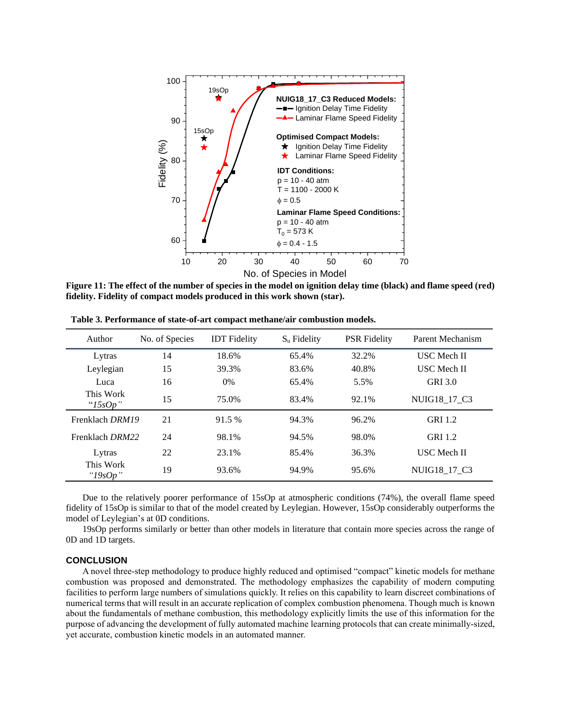

**Figure 11: The effect of the number of species in the model on ignition delay time (black) and flame speed (red) fidelity. Fidelity of compact models produced in this work shown (star).**

| Author                   | No. of Species | <b>IDT</b> Fidelity | $S_{\rm u}$ Fidelity | <b>PSR</b> Fidelity | Parent Mechanism   |
|--------------------------|----------------|---------------------|----------------------|---------------------|--------------------|
| Lytras                   | 14             | 18.6%               | 65.4%                | 32.2%               | <b>USC</b> Mech II |
| Leylegian                | 15             | 39.3%               | 83.6%                | 40.8%               | <b>USC</b> Mech II |
| Luca                     | 16             | $0\%$               | 65.4%                | 5.5%                | <b>GRI 3.0</b>     |
| This Work<br>" $15sOp$ " | 15             | 75.0%               | 83.4%                | 92.1%               | NUIG18 17 C3       |
| Frenklach DRM19          | 21             | 91.5 %              | 94.3%                | 96.2%               | <b>GRI 1.2</b>     |
| Frenklach DRM22          | 24             | 98.1%               | 94.5%                | 98.0%               | <b>GRI 1.2</b>     |
| Lytras                   | 22             | 23.1%               | 85.4%                | 36.3%               | <b>USC</b> Mech II |
| This Work<br>"19sOp"     | 19             | 93.6%               | 94.9%                | 95.6%               | NUIG18 17 C3       |

**Table 3. Performance of state-of-art compact methane/air combustion models.**

Due to the relatively poorer performance of 15sOp at atmospheric conditions (74%), the overall flame speed fidelity of 15sOp is similar to that of the model created by Leylegian. However, 15sOp considerably outperforms the model of Leylegian's at 0D conditions.

19sOp performs similarly or better than other models in literature that contain more species across the range of 0D and 1D targets.

### **CONCLUSION**

A novel three-step methodology to produce highly reduced and optimised "compact" kinetic models for methane combustion was proposed and demonstrated. The methodology emphasizes the capability of modern computing facilities to perform large numbers of simulations quickly. It relies on this capability to learn discreet combinations of numerical terms that will result in an accurate replication of complex combustion phenomena. Though much is known about the fundamentals of methane combustion, this methodology explicitly limits the use of this information for the purpose of advancing the development of fully automated machine learning protocols that can create minimally-sized, yet accurate, combustion kinetic models in an automated manner.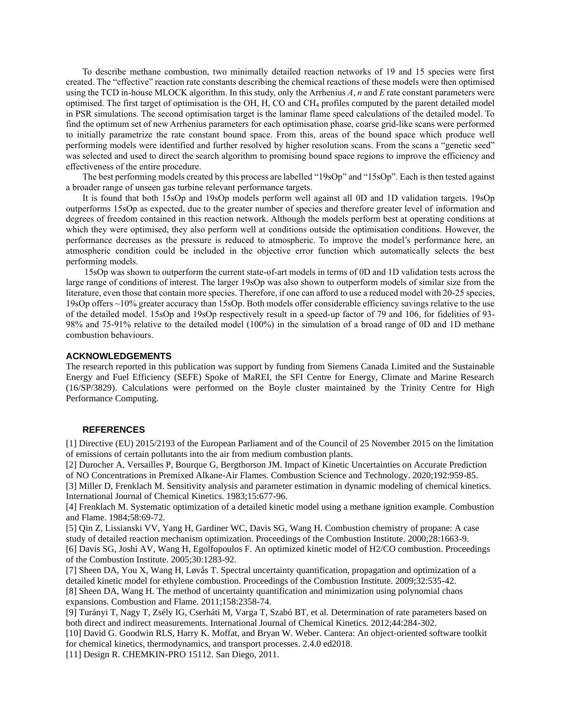To describe methane combustion, two minimally detailed reaction networks of 19 and 15 species were first created. The "effective" reaction rate constants describing the chemical reactions of these models were then optimised using the TCD in-house MLOCK algorithm. In this study, only the Arrhenius *A*, *n* and *E* rate constant parameters were optimised. The first target of optimisation is the OH, H, CO and CH<sup>4</sup> profiles computed by the parent detailed model in PSR simulations. The second optimisation target is the laminar flame speed calculations of the detailed model. To find the optimum set of new Arrhenius parameters for each optimisation phase, coarse grid-like scans were performed to initially parametrize the rate constant bound space. From this, areas of the bound space which produce well performing models were identified and further resolved by higher resolution scans. From the scans a "genetic seed" was selected and used to direct the search algorithm to promising bound space regions to improve the efficiency and effectiveness of the entire procedure.

The best performing models created by this process are labelled "19sOp" and "15sOp". Each is then tested against a broader range of unseen gas turbine relevant performance targets.

It is found that both 15sOp and 19sOp models perform well against all 0D and 1D validation targets. 19sOp outperforms 15sOp as expected, due to the greater number of species and therefore greater level of information and degrees of freedom contained in this reaction network. Although the models perform best at operating conditions at which they were optimised, they also perform well at conditions outside the optimisation conditions. However, the performance decreases as the pressure is reduced to atmospheric. To improve the model's performance here, an atmospheric condition could be included in the objective error function which automatically selects the best performing models.

 15sOp was shown to outperform the current state-of-art models in terms of 0D and 1D validation tests across the large range of conditions of interest. The larger 19sOp was also shown to outperform models of similar size from the literature, even those that contain more species. Therefore, if one can afford to use a reduced model with 20-25 species, 19sOp offers ~10% greater accuracy than 15sOp. Both models offer considerable efficiency savings relative to the use of the detailed model. 15sOp and 19sOp respectively result in a speed-up factor of 79 and 106, for fidelities of 93- 98% and 75-91% relative to the detailed model (100%) in the simulation of a broad range of 0D and 1D methane combustion behaviours.

### **ACKNOWLEDGEMENTS**

The research reported in this publication was support by funding from Siemens Canada Limited and the Sustainable Energy and Fuel Efficiency (SEFE) Spoke of MaREI, the SFI Centre for Energy, Climate and Marine Research (16/SP/3829). Calculations were performed on the Boyle cluster maintained by the Trinity Centre for High Performance Computing.

### **REFERENCES**

[1] Directive (EU) 2015/2193 of the European Parliament and of the Council of 25 November 2015 on the limitation of emissions of certain pollutants into the air from medium combustion plants.

[2] Durocher A, Versailles P, Bourque G, Bergthorson JM. Impact of Kinetic Uncertainties on Accurate Prediction of NO Concentrations in Premixed Alkane-Air Flames. Combustion Science and Technology. 2020;192:959-85.

[3] Miller D, Frenklach M. Sensitivity analysis and parameter estimation in dynamic modeling of chemical kinetics. International Journal of Chemical Kinetics. 1983;15:677-96.

[4] Frenklach M. Systematic optimization of a detailed kinetic model using a methane ignition example. Combustion and Flame. 1984;58:69-72.

[5] Qin Z, Lissianski VV, Yang H, Gardiner WC, Davis SG, Wang H. Combustion chemistry of propane: A case study of detailed reaction mechanism optimization. Proceedings of the Combustion Institute. 2000;28:1663-9. [6] Davis SG, Joshi AV, Wang H, Egolfopoulos F. An optimized kinetic model of H2/CO combustion. Proceedings of the Combustion Institute. 2005;30:1283-92.

[7] Sheen DA, You X, Wang H, Løvås T. Spectral uncertainty quantification, propagation and optimization of a detailed kinetic model for ethylene combustion. Proceedings of the Combustion Institute. 2009;32:535-42. [8] Sheen DA, Wang H. The method of uncertainty quantification and minimization using polynomial chaos

expansions. Combustion and Flame. 2011;158:2358-74.

[9] Turányi T, Nagy T, Zsély IG, Cserháti M, Varga T, Szabó BT, et al. Determination of rate parameters based on both direct and indirect measurements. International Journal of Chemical Kinetics. 2012;44:284-302.

[10] David G. Goodwin RLS, Harry K. Moffat, and Bryan W. Weber. Cantera: An object-oriented software toolkit for chemical kinetics, thermodynamics, and transport processes. 2.4.0 ed2018.

[11] Design R. CHEMKIN-PRO 15112. San Diego, 2011.